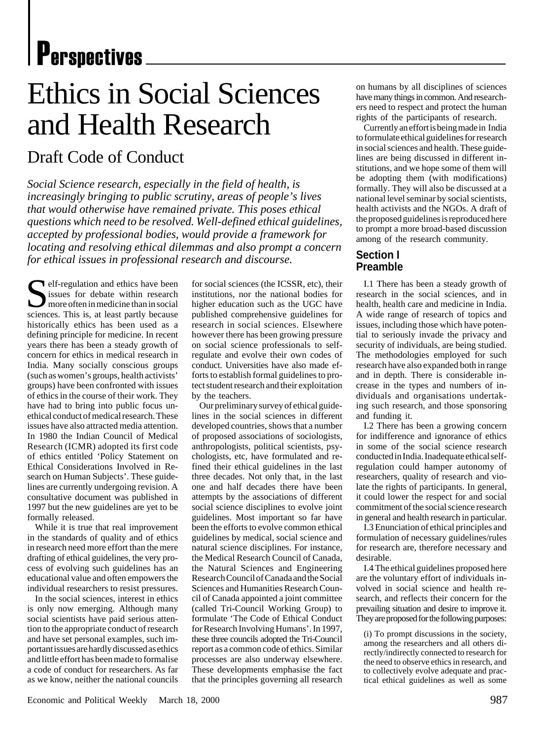# **P**erspectives

# Ethics in Social Sciences and Health Research

# Draft Code of Conduct

*Social Science research, especially in the field of health, is increasingly bringing to public scrutiny, areas of people's lives that would otherwise have remained private. This poses ethical questions which need to be resolved. Well-defined ethical guidelines, accepted by professional bodies, would provide a framework for locating and resolving ethical dilemmas and also prompt a concern for ethical issues in professional research and discourse.*

Self-regulation and ethics have been<br>
issues for debate within research<br>
more often in medicine than in social<br>
sciences This is at least nartly because issues for debate within research more often in medicine than in social sciences. This is, at least partly because historically ethics has been used as a defining principle for medicine. In recent years there has been a steady growth of concern for ethics in medical research in India. Many socially conscious groups (such as women's groups, health activists' groups) have been confronted with issues of ethics in the course of their work. They have had to bring into public focus unethical conduct of medical research. These issues have also attracted media attention. In 1980 the Indian Council of Medical Research (ICMR) adopted its first code of ethics entitled 'Policy Statement on Ethical Considerations Involved in Research on Human Subjects'. These guidelines are currently undergoing revision. A consultative document was published in 1997 but the new guidelines are yet to be formally released.

While it is true that real improvement in the standards of quality and of ethics in research need more effort than the mere drafting of ethical guidelines, the very process of evolving such guidelines has an educational value and often empowers the individual researchers to resist pressures.

In the social sciences, interest in ethics is only now emerging. Although many social scientists have paid serious attention to the appropriate conduct of research and have set personal examples, such important issues are hardly discussed as ethics and little effort has been made to formalise a code of conduct for researchers. As far as we know, neither the national councils

for social sciences (the ICSSR, etc), their institutions, nor the national bodies for higher education such as the UGC have published comprehensive guidelines for research in social sciences. Elsewhere however there has been growing pressure on social science professionals to selfregulate and evolve their own codes of conduct. Universities have also made efforts to establish formal guidelines to protect student research and their exploitation by the teachers.

Our preliminary survey of ethical guidelines in the social sciences in different developed countries, shows that a number of proposed associations of sociologists, anthropologists, political scientists, psychologists, etc, have formulated and refined their ethical guidelines in the last three decades. Not only that, in the last one and half decades there have been attempts by the associations of different social science disciplines to evolve joint guidelines. Most important so far have been the efforts to evolve common ethical guidelines by medical, social science and natural science disciplines. For instance, the Medical Research Council of Canada, the Natural Sciences and Engineering Research Council of Canada and the Social Sciences and Humanities Research Council of Canada appointed a joint committee (called Tri-Council Working Group) to formulate 'The Code of Ethical Conduct for Research Involving Humans'. In 1997, these three councils adopted the Tri-Council report as a common code of ethics. Similar processes are also underway elsewhere. These developments emphasise the fact that the principles governing all research

on humans by all disciplines of sciences have many things in common. And researchers need to respect and protect the human rights of the participants of research.

Currently an effort is being made in India to formulate ethical guidelines for research in social sciences and health. These guidelines are being discussed in different institutions, and we hope some of them will be adopting them (with modifications) formally. They will also be discussed at a national level seminar by social scientists, health activists and the NGOs. A draft of the proposed guidelines is reproduced here to prompt a more broad-based discussion among of the research community.

## **Section I Preamble**

I.1 There has been a steady growth of research in the social sciences, and in health, health care and medicine in India. A wide range of research of topics and issues, including those which have potential to seriously invade the privacy and security of individuals, are being studied. The methodologies employed for such research have also expanded both in range and in depth. There is considerable increase in the types and numbers of individuals and organisations undertaking such research, and those sponsoring and funding it.

I.2 There has been a growing concern for indifference and ignorance of ethics in some of the social science research conducted in India. Inadequate ethical selfregulation could hamper autonomy of researchers, quality of research and violate the rights of participants. In general, it could lower the respect for and social commitment of the social science research in general and health research in particular.

I.3 Enunciation of ethical principles and formulation of necessary guidelines/rules for research are, therefore necessary and desirable.

I.4 The ethical guidelines proposed here are the voluntary effort of individuals involved in social science and health research, and reflects their concern for the prevailing situation and desire to improve it. They are proposed for the following purposes:

(i) To prompt discussions in the society, among the researchers and all others directly/indirectly connected to research for the need to observe ethics in research, and to collectively evolve adequate and practical ethical guidelines as well as some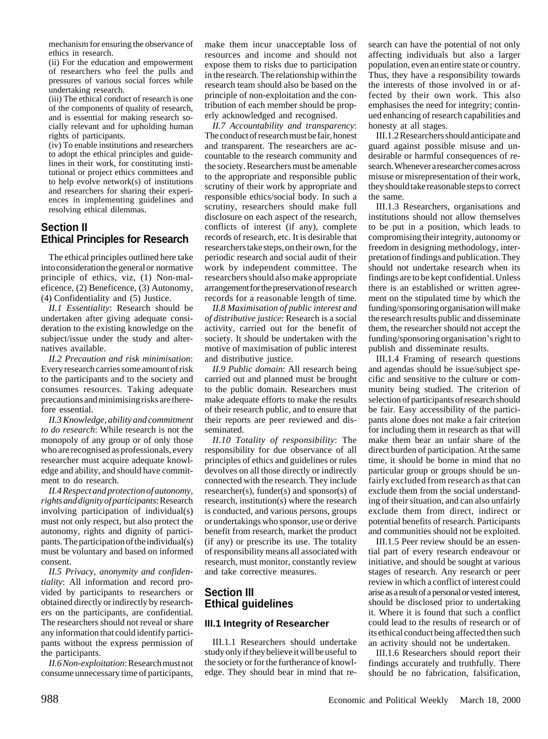mechanism for ensuring the observance of ethics in research.

(ii) For the education and empowerment of researchers who feel the pulls and pressures of various social forces while undertaking research.

(iii) The ethical conduct of research is one of the components of quality of research, and is essential for making research socially relevant and for upholding human rights of participants.

(iv) To enable institutions and researchers to adopt the ethical principles and guidelines in their work, for constituting institutional or project ethics committees and to help evolve network(s) of institutions and researchers for sharing their experiences in implementing guidelines and resolving ethical dilemmas.

### **Section II Ethical Principles for Research**

The ethical principles outlined here take into consideration the general or normative principle of ethics, viz, (1) Non-maleficence, (2) Beneficence, (3) Autonomy, (4) Confidentiality and (5) Justice.

*II.1 Essentiality*: Research should be undertaken after giving adequate consideration to the existing knowledge on the subject/issue under the study and alternatives available.

*II.2 Precaution and risk minimisation*: Every research carries some amount of risk to the participants and to the society and consumes resources. Taking adequate precautions and minimising risks are therefore essential.

*II.3 Knowledge, ability and commitment to do research*: While research is not the monopoly of any group or of only those who are recognised as professionals, every researcher must acquire adequate knowledge and ability, and should have commitment to do research.

*II.4 Respect and protection of autonomy, rights and dignity of participants*: Research involving participation of individual(s) must not only respect, but also protect the autonomy, rights and dignity of participants. The participation of the individual(s) must be voluntary and based on informed consent.

*II.5 Privacy, anonymity and confidentiality*: All information and record provided by participants to researchers or obtained directly or indirectly by researchers on the participants, are confidential. The researchers should not reveal or share any information that could identify participants without the express permission of the participants.

*II.6 Non-exploitation*: Research must not consume unnecessary time of participants, make them incur unacceptable loss of resources and income and should not expose them to risks due to participation in the research. The relationship within the research team should also be based on the principle of non-exploitation and the contribution of each member should be properly acknowledged and recognised.

*II.7 Accountability and transparency*: The conduct of research must be fair, honest and transparent. The researchers are accountable to the research community and the society. Researchers must be amenable to the appropriate and responsible public scrutiny of their work by appropriate and responsible ethics/social body. In such a scrutiny, researchers should make full disclosure on each aspect of the research, conflicts of interest (if any), complete records of research, etc. It is desirable that researchers take steps, on their own, for the periodic research and social audit of their work by independent committee. The researchers should also make appropriate arrangement for the preservation of research records for a reasonable length of time.

*II.8 Maximisation of public interest and of distributive justice*: Research is a social activity, carried out for the benefit of society. It should be undertaken with the motive of maximisation of public interest and distributive justice.

*II.9 Public domain*: All research being carried out and planned must be brought to the public domain. Researchers must make adequate efforts to make the results of their research public, and to ensure that their reports are peer reviewed and disseminated.

*II.10 Totality of responsibility*: The responsibility for due observance of all principles of ethics and guidelines or rules devolves on all those directly or indirectly connected with the research. They include researcher(s), funder(s) and sponsor(s) of research, institution(s) where the research is conducted, and various persons, groups or undertakings who sponsor, use or derive benefit from research, market the product (if any) or prescribe its use. The totality of responsibility means all associated with research, must monitor, constantly review and take corrective measures.

# **Section III Ethical guidelines**

#### **III.1 Integrity of Researcher**

III.1.1 Researchers should undertake study only if they believe it will be useful to the society or for the furtherance of knowledge. They should bear in mind that research can have the potential of not only affecting individuals but also a larger population, even an entire state or country. Thus, they have a responsibility towards the interests of those involved in or affected by their own work. This also emphasises the need for integrity; continued enhancing of research capabilities and honesty at all stages.

III.1.2 Researchers should anticipate and guard against possible misuse and undesirable or harmful consequences of research. Whenever a researcher comes across misuse or misrepresentation of their work, they should take reasonable steps to correct the same.

III.1.3 Researchers, organisations and institutions should not allow themselves to be put in a position, which leads to compromising their integrity, autonomy or freedom in designing methodology, interpretation of findings and publication. They should not undertake research when its findings are to be kept confidential. Unless there is an established or written agreement on the stipulated time by which the funding/sponsoring organisation will make the research results public and disseminate them, the researcher should not accept the funding/sponsoring organisation's right to publish and disseminate results.

III.1.4 Framing of research questions and agendas should be issue/subject specific and sensitive to the culture or community being studied. The criterion of selection of participants of research should be fair. Easy accessibility of the participants alone does not make a fair criterion for including them in research as that will make them bear an unfair share of the direct burden of participation. At the same time, it should be borne in mind that no particular group or groups should be unfairly excluded from research as that can exclude them from the social understanding of their situation, and can also unfairly exclude them from direct, indirect or potential benefits of research. Participants and communities should not be exploited.

III.1.5 Peer review should be an essential part of every research endeavour or initiative, and should be sought at various stages of research. Any research or peer review in which a conflict of interest could arise as a result of a personal or vested interest, should be disclosed prior to undertaking it. Where it is found that such a conflict could lead to the results of research or of its ethical conduct being affected then such an activity should not be undertaken.

III.1.6 Researchers should report their findings accurately and truthfully. There should be no fabrication, falsification,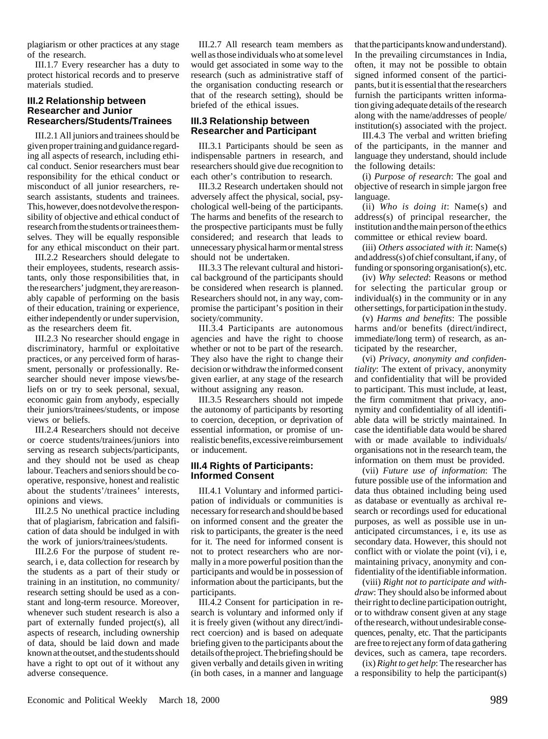plagiarism or other practices at any stage of the research.

III.1.7 Every researcher has a duty to protect historical records and to preserve materials studied.

#### **III.2 Relationship between Researcher and Junior Researchers/Students/Trainees**

III.2.1 All juniors and trainees should be given proper training and guidance regarding all aspects of research, including ethical conduct. Senior researchers must bear responsibility for the ethical conduct or misconduct of all junior researchers, research assistants, students and trainees. This, however, does not devolve the responsibility of objective and ethical conduct of research from the students or trainees themselves. They will be equally responsible for any ethical misconduct on their part.

III.2.2 Researchers should delegate to their employees, students, research assistants, only those responsibilities that, in the researchers' judgment, they are reasonably capable of performing on the basis of their education, training or experience, either independently or under supervision, as the researchers deem fit.

III.2.3 No researcher should engage in discriminatory, harmful or exploitative practices, or any perceived form of harassment, personally or professionally. Researcher should never impose views/beliefs on or try to seek personal, sexual, economic gain from anybody, especially their juniors/trainees/students, or impose views or beliefs.

III.2.4 Researchers should not deceive or coerce students/trainees/juniors into serving as research subjects/participants, and they should not be used as cheap labour. Teachers and seniors should be cooperative, responsive, honest and realistic about the students'/trainees' interests, opinions and views.

III.2.5 No unethical practice including that of plagiarism, fabrication and falsification of data should be indulged in with the work of juniors/trainees/students.

III.2.6 For the purpose of student research, i e, data collection for research by the students as a part of their study or training in an institution, no community/ research setting should be used as a constant and long-term resource. Moreover, whenever such student research is also a part of externally funded project(s), all aspects of research, including ownership of data, should be laid down and made known at the outset, and the students should have a right to opt out of it without any adverse consequence.

III.2.7 All research team members as well as those individuals who at some level would get associated in some way to the research (such as administrative staff of the organisation conducting research or that of the research setting), should be briefed of the ethical issues.

#### **III.3 Relationship between Researcher and Participant**

III.3.1 Participants should be seen as indispensable partners in research, and researchers should give due recognition to each other's contribution to research.

III.3.2 Research undertaken should not adversely affect the physical, social, psychological well-being of the participants. The harms and benefits of the research to the prospective participants must be fully considered; and research that leads to unnecessary physical harm or mental stress should not be undertaken.

III.3.3 The relevant cultural and historical background of the participants should be considered when research is planned. Researchers should not, in any way, compromise the participant's position in their society/community.

III.3.4 Participants are autonomous agencies and have the right to choose whether or not to be part of the research. They also have the right to change their decision or withdraw the informed consent given earlier, at any stage of the research without assigning any reason.

III.3.5 Researchers should not impede the autonomy of participants by resorting to coercion, deception, or deprivation of essential information, or promise of unrealistic benefits, excessive reimbursement or inducement.

#### **III.4 Rights of Participants: Informed Consent**

III.4.1 Voluntary and informed participation of individuals or communities is necessary for research and should be based on informed consent and the greater the risk to participants, the greater is the need for it. The need for informed consent is not to protect researchers who are normally in a more powerful position than the participants and would be in possession of information about the participants, but the participants.

III.4.2 Consent for participation in research is voluntary and informed only if it is freely given (without any direct/indirect coercion) and is based on adequate briefing given to the participants about the details of the project. The briefing should be given verbally and details given in writing (in both cases, in a manner and language

that the participants know and understand). In the prevailing circumstances in India, often, it may not be possible to obtain signed informed consent of the participants, but it is essential that the researchers furnish the participants written information giving adequate details of the research along with the name/addresses of people/ institution(s) associated with the project.

III.4.3 The verbal and written briefing of the participants, in the manner and language they understand, should include the following details:

(i) *Purpose of research*: The goal and objective of research in simple jargon free language.

(ii) *Who is doing it*: Name(s) and address(s) of principal researcher, the institution and the main person of the ethics committee or ethical review board.

(iii) *Others associated with it*: Name(s) and address(s) of chief consultant, if any, of funding or sponsoring organisation(s), etc.

(iv) *Why selected*: Reasons or method for selecting the particular group or individual(s) in the community or in any other settings, for participation in the study.

(v) *Harms and benefits*: The possible harms and/or benefits (direct/indirect, immediate/long term) of research, as anticipated by the researcher,

(vi) *Privacy, anonymity and confidentiality*: The extent of privacy, anonymity and confidentiality that will be provided to participant. This must include, at least, the firm commitment that privacy, anonymity and confidentiality of all identifiable data will be strictly maintained. In case the identifiable data would be shared with or made available to individuals/ organisations not in the research team, the information on them must be provided.

(vii) *Future use of information*: The future possible use of the information and data thus obtained including being used as database or eventually as archival research or recordings used for educational purposes, as well as possible use in unanticipated circumstances, i e, its use as secondary data. However, this should not conflict with or violate the point (vi), i e, maintaining privacy, anonymity and confidentiality of the identifiable information.

(viii) *Right not to participate and withdraw*: They should also be informed about their right to decline participation outright, or to withdraw consent given at any stage of the research, without undesirable consequences, penalty, etc. That the participants are free to reject any form of data gathering devices, such as camera, tape recorders.

(ix) *Right to get help*: The researcher has a responsibility to help the participant(s)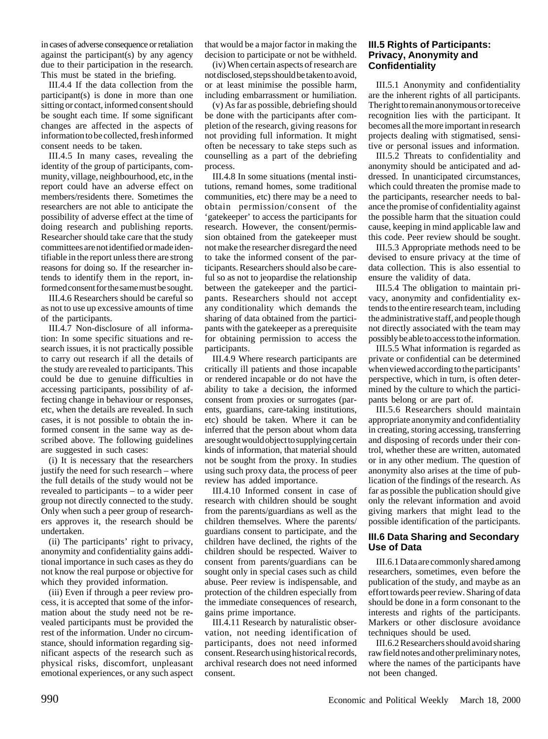in cases of adverse consequence or retaliation against the participant(s) by any agency due to their participation in the research. This must be stated in the briefing.

III.4.4 If the data collection from the participant(s) is done in more than one sitting or contact, informed consent should be sought each time. If some significant changes are affected in the aspects of information to be collected, fresh informed consent needs to be taken.

III.4.5 In many cases, revealing the identity of the group of participants, community, village, neighbourhood, etc, in the report could have an adverse effect on members/residents there. Sometimes the researchers are not able to anticipate the possibility of adverse effect at the time of doing research and publishing reports. Researcher should take care that the study committees are not identified or made identifiable in the report unless there are strong reasons for doing so. If the researcher intends to identify them in the report, informed consent for the same must be sought.

III.4.6 Researchers should be careful so as not to use up excessive amounts of time of the participants.

III.4.7 Non-disclosure of all information: In some specific situations and research issues, it is not practically possible to carry out research if all the details of the study are revealed to participants. This could be due to genuine difficulties in accessing participants, possibility of affecting change in behaviour or responses, etc, when the details are revealed. In such cases, it is not possible to obtain the informed consent in the same way as described above. The following guidelines are suggested in such cases:

(i) It is necessary that the researchers justify the need for such research – where the full details of the study would not be revealed to participants – to a wider peer group not directly connected to the study. Only when such a peer group of researchers approves it, the research should be undertaken.

(ii) The participants' right to privacy, anonymity and confidentiality gains additional importance in such cases as they do not know the real purpose or objective for which they provided information.

(iii) Even if through a peer review process, it is accepted that some of the information about the study need not be revealed participants must be provided the rest of the information. Under no circumstance, should information regarding significant aspects of the research such as physical risks, discomfort, unpleasant emotional experiences, or any such aspect

that would be a major factor in making the decision to participate or not be withheld.

(iv) When certain aspects of research are not disclosed, steps should be taken to avoid, or at least minimise the possible harm, including embarrassment or humiliation.

(v) As far as possible, debriefing should be done with the participants after completion of the research, giving reasons for not providing full information. It might often be necessary to take steps such as counselling as a part of the debriefing process.

III.4.8 In some situations (mental institutions, remand homes, some traditional communities, etc) there may be a need to obtain permission/consent of the 'gatekeeper' to access the participants for research. However, the consent/permission obtained from the gatekeeper must not make the researcher disregard the need to take the informed consent of the participants. Researchers should also be careful so as not to jeopardise the relationship between the gatekeeper and the participants. Researchers should not accept any conditionality which demands the sharing of data obtained from the participants with the gatekeeper as a prerequisite for obtaining permission to access the participants.

III.4.9 Where research participants are critically ill patients and those incapable or rendered incapable or do not have the ability to take a decision, the informed consent from proxies or surrogates (parents, guardians, care-taking institutions, etc) should be taken. Where it can be inferred that the person about whom data are sought would object to supplying certain kinds of information, that material should not be sought from the proxy. In studies using such proxy data, the process of peer review has added importance.

III.4.10 Informed consent in case of research with children should be sought from the parents/guardians as well as the children themselves. Where the parents/ guardians consent to participate, and the children have declined, the rights of the children should be respected. Waiver to consent from parents/guardians can be sought only in special cases such as child abuse. Peer review is indispensable, and protection of the children especially from the immediate consequences of research, gains prime importance.

III.4.11 Research by naturalistic observation, not needing identification of participants, does not need informed consent. Research using historical records, archival research does not need informed consent.

#### **III.5 Rights of Participants: Privacy, Anonymity and Confidentiality**

III.5.1 Anonymity and confidentiality are the inherent rights of all participants. The right to remain anonymous or to receive recognition lies with the participant. It becomes all the more important in research projects dealing with stigmatised, sensitive or personal issues and information.

III.5.2 Threats to confidentiality and anonymity should be anticipated and addressed. In unanticipated circumstances, which could threaten the promise made to the participants, researcher needs to balance the promise of confidentiality against the possible harm that the situation could cause, keeping in mind applicable law and this code. Peer review should be sought.

III.5.3 Appropriate methods need to be devised to ensure privacy at the time of data collection. This is also essential to ensure the validity of data.

III.5.4 The obligation to maintain privacy, anonymity and confidentiality extends to the entire research team, including the administrative staff, and people though not directly associated with the team may possibly be able to access to the information.

III.5.5 What information is regarded as private or confidential can be determined when viewed according to the participants' perspective, which in turn, is often determined by the culture to which the participants belong or are part of.

III.5.6 Researchers should maintain appropriate anonymity and confidentiality in creating, storing accessing, transferring and disposing of records under their control, whether these are written, automated or in any other medium. The question of anonymity also arises at the time of publication of the findings of the research. As far as possible the publication should give only the relevant information and avoid giving markers that might lead to the possible identification of the participants.

#### **III.6 Data Sharing and Secondary Use of Data**

III.6.1 Data are commonly shared among researchers, sometimes, even before the publication of the study, and maybe as an effort towards peer review. Sharing of data should be done in a form consonant to the interests and rights of the participants. Markers or other disclosure avoidance techniques should be used.

III.6.2 Researchers should avoid sharing raw field notes and other preliminary notes, where the names of the participants have not been changed.